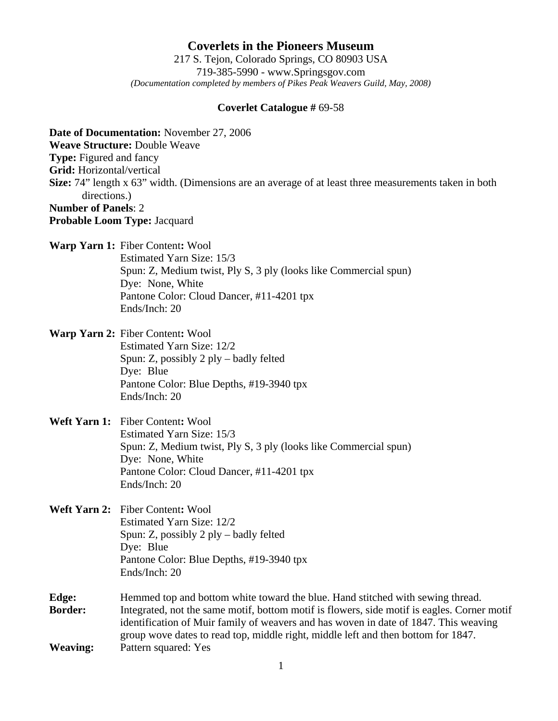**Coverlets in the Pioneers Museum** 217 S. Tejon, Colorado Springs, CO 80903 USA 719-385-5990 - www.Springsgov.com *(Documentation completed by members of Pikes Peak Weavers Guild, May, 2008)* 

## **Coverlet Catalogue #** 69-58

**Date of Documentation:** November 27, 2006 **Weave Structure:** Double Weave **Type:** Figured and fancy **Grid:** Horizontal/vertical **Size:** 74" length x 63" width. (Dimensions are an average of at least three measurements taken in both directions.) **Number of Panels**: 2 **Probable Loom Type:** Jacquard **Warp Yarn 1:** Fiber Content**:** Wool Estimated Yarn Size: 15/3 Spun: Z, Medium twist, Ply S, 3 ply (looks like Commercial spun) Dye: None, White Pantone Color: Cloud Dancer, #11-4201 tpx Ends/Inch: 20 **Warp Yarn 2:** Fiber Content**:** Wool Estimated Yarn Size: 12/2 Spun: Z, possibly 2 ply – badly felted Dye: Blue Pantone Color: Blue Depths, #19-3940 tpx

Ends/Inch: 20

## **Weft Yarn 1:** Fiber Content**:** Wool Estimated Yarn Size: 15/3 Spun: Z, Medium twist, Ply S, 3 ply (looks like Commercial spun) Dye: None, White Pantone Color: Cloud Dancer, #11-4201 tpx Ends/Inch: 20

- **Weft Yarn 2:** Fiber Content**:** Wool Estimated Yarn Size: 12/2 Spun: Z, possibly 2 ply – badly felted Dye: Blue Pantone Color: Blue Depths, #19-3940 tpx Ends/Inch: 20
- **Edge:** Hemmed top and bottom white toward the blue. Hand stitched with sewing thread. **Border:** Integrated, not the same motif, bottom motif is flowers, side motif is eagles. Corner motif identification of Muir family of weavers and has woven in date of 1847. This weaving group wove dates to read top, middle right, middle left and then bottom for 1847. **Weaving:** Pattern squared: Yes